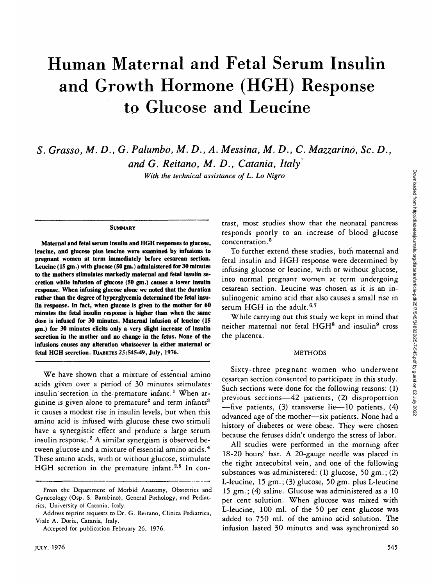# Human Maternal and Fetal Serum Insulin and Growth Hormone (HGH) Response to Glucose and Leucine

*S. Grasso, M. D., G. Palumbo, M.D., A. Messina, M. D., C. Mazzarino, Sc. D., and G. Reitano, M. D., Catania, Italy*

*With the technical assistance of L. Lo Nigro*

#### **SUMMARY**

**Maternal and fetal serum insulin and HGH responses to glucose, leucine, and glucose plus leucine were examined by infusions to pregnant women at term immediately before cesarean section. Leucine (15 gm.) with glucose (50 gm.) administered for 30 minutes to the mothers stimulates markedly maternal and fetal insulin secretion while infusion of glucose (50 gm.) causes a lower insulin response. When infusing glucose alone we noted that the duration rather than the degree of hyperglycemia determined the fetal insulin response. In fact, when glucose is given to the mother for 60 minutes the fetal insulin response is higher than when the same dose is infused for 30 minutes. Maternal infusion of leucine (15 gm.) for 30 minutes elicits only a very slight increase of insulin secretion in the mother and no change in the fetus. None of the infusions causes any alteration whatsoever in either maternal or fetal HGH secretion. DJABETES25:545-49, July, 1976.**

We have shown that a mixture of essential amino acids given over a period of 30 minutes stimulates insulin secretion in the premature infant.<sup>1</sup> When arginine is given alone to premature<sup>2</sup> and term infants<sup>3</sup> it causes a modest rise in insulin levels, but when this amino acid is infused with glucose these two stimuli have a synergistic effect and produce a large serum insulin response.<sup>2</sup> A similar synergism is observed between glucose and a mixture of essential amino acids.<sup>4</sup> These amino acids, with or without glucose, stimulate HGH secretion in the premature infant.<sup>2,5</sup> In contrast, most studies show that the neonatal pancreas responds poorly to an increase of blood glucose concentration.<sup>5</sup>

To further extend these studies, both maternal and fetal insulin and HGH response were determined by infusing glucose or leucine, with or without glucose, into normal pregnant women at term undergoing cesarean section. Leucine was chosen as it is an insulinogenic amino acid that also causes a small rise in serum HGH in the adult.  $6.7$ 

While carrying out this study we kept in mind that neither maternal nor fetal HGH<sup>8</sup> and insulin<sup>9</sup> cross the placenta.

#### METHODS

Sixty-three pregnant women who underwent cesarean section consented to participate in this study. Such sections were done for the following reasons: (1) previous, sections—42 patients, (2) disproportion —five patients, (3) transverse lie—10 patients, (4) advanced age of the mother—six patients. None had a history of diabetes or were obese. They were chosen because the fetuses didn't undergo the stress of labor.

All studies were performed in the morning after 18-20 hours' fast. A 20-gauge needle was placed in the right antecubital vein, and one of the following substances was administered: (1) glucose, 50 gm.; (2) L-leucine, 15 gm.; (3) glucose, 50 gm. plus L-leucine 15 gm.; (4) saline. Glucose was administered as a 10 per cent solution. When glucose was mixed with L-leucine, 100 ml. of the 50 per cent glucose was added to 750 ml. of the amino acid solution. The infusion lasted 30 minutes and was synchronized so

From the Department of Morbid Anatomy, Obstetrics and Gynecology (Osp. S. Bambino), General Pathology, and Pediatrics, University of Catania, Italy.

Address reprint requests to Dr. G. Reitano, Clinica Pediatrica, Viale A. Doria, Catania, Italy.

Accepted for publication February 26, 1976.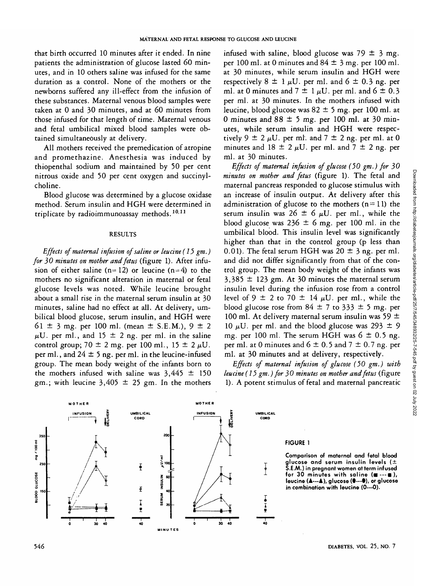that birth occurred 10 minutes after it ended. In nine patients the administration of glucose lasted 60 minutes, and in 10 others saline was infused for the same duration as a control. None of the mothers or the newborns suffered any ill-effect from the infusion of these substances. Maternal venous blood samples were taken at 0 and 30 minutes, and at 60 minutes from those infused for that length of time. Maternal venous and fetal umbilical mixed blood samples were obtained simultaneously at delivery.

All mothers received the premedication of atropine and promethazine. Anesthesia was induced by thiopenthal sodium and maintained by 50 per cent nitrous oxide and 50 per cent oxygen and succinylcholine.

Blood glucose was determined by a glucose oxidase method. Serum insulin and HGH were determined in triplicate by radioimmunoassay methods.<sup>10,11</sup>

### RESULTS

*Effects of maternal infusion of saline or leucine (15 gm.) for 30 minutes on mother and fetus* (figure 1). After infusion of either saline ( $n=12$ ) or leucine ( $n=4$ ) to the mothers no significant alteration in maternal or fetal glucose levels was noted. While leucine brought about a small rise in the maternal serum insulin at 30 minutes, saline had no effect at all. At delivery, umbilical blood glucose, serum insulin, and HGH were 61  $\pm$  3 mg. per 100 ml. (mean  $\pm$  S.E.M.), 9  $\pm$  2  $\mu$ U. per ml., and 15  $\pm$  2 ng. per ml. in the saline control group;  $70 \pm 2$  mg. per 100 ml.,  $15 \pm 2 \mu U$ . per ml., and  $24 \pm 5$  ng. per ml. in the leucine-infused group. The mean body weight of the infants born to the mothers infused with saline was  $3,445 \pm 150$ gm.; with leucine  $3,405 \pm 25$  gm. In the mothers

infused with saline, blood glucose was  $79 \pm 3$  mg. per 100 ml. at 0 minutes and  $84 \pm 3$  mg. per 100 ml. at 30 minutes, while serum insulin and HGH were respectively  $8 \pm 1 \mu U$ . per ml. and  $6 \pm 0.3$  ng. per ml. at 0 minutes and  $7 \pm 1 \mu U$ . per ml. and  $6 \pm 0.3$ per ml. at 30 minutes. In the mothers infused with leucine, blood glucose was  $82 \pm 5$  mg. per 100 ml. at 0 minutes and  $88 \pm 5$  mg. per 100 ml. at 30 minutes, while serum insulin and HGH were respectively  $9 \pm 2 \mu U$ . per ml. and  $7 \pm 2$  ng. per ml. at 0 minutes and 18  $\pm$  2  $\mu$ U. per ml. and 7  $\pm$  2 ng. per ml. at 30 minutes.

*Effects of maternal infusion of glucose (50 gm.) for 30 minutes on mother and fetus* (figure 1). The fetal and maternal pancreas responded to glucose stimulus with an increase of insulin output. At delivery after this administration of glucose to the mothers  $(n=11)$  the serum insulin was  $26 \pm 6 \mu U$ . per ml., while the blood glucose was  $236 \pm 6$  mg. per 100 ml. in the umbilical blood. This insulin level was significantly higher than that in the control group (p less than 0.01). The fetal serum HGH was  $20 \pm 3$  ng. per ml. and did not differ significantly from that of the control group. The mean body weight of the infants was  $3,385 \pm 123$  gm. At 30 minutes the maternal serum insulin level during the infusion rose from a control level of 9  $\pm$  2 to 70  $\pm$  14  $\mu$ U. per ml., while the blood glucose rose from  $84 \pm 7$  to  $333 \pm 5$  mg. per 100 ml. At delivery maternal serum insulin was 59  $\pm$ 10  $\mu$ U. per ml. and the blood glucose was 293  $\pm$  9 mg. per 100 ml. The serum HGH was  $6 \pm 0.5$  ng. per ml. at 0 minutes and  $6 \pm 0.5$  and  $7 \pm 0.7$  ng. per ml. at 30 minutes and at delivery, respectively.

*Effects of maternal infusion of glucose (50 gm.) with leucine (15 gm.) for 30 minutes on mother and fetus* (figure 1). A potent stimulus of fetal and maternal pancreatic





#### **FIGURE 1**

**Comparison of maternal and fetal blood glucose and serum insulin levels ( ± S.E.M.) in pregnant women at term infused for 30 minutes with saline (** $\blacksquare$  **---** $\blacksquare$ ), **leucine (A—k), glucose (•—0), or glucose in combination with leucine (0—0).**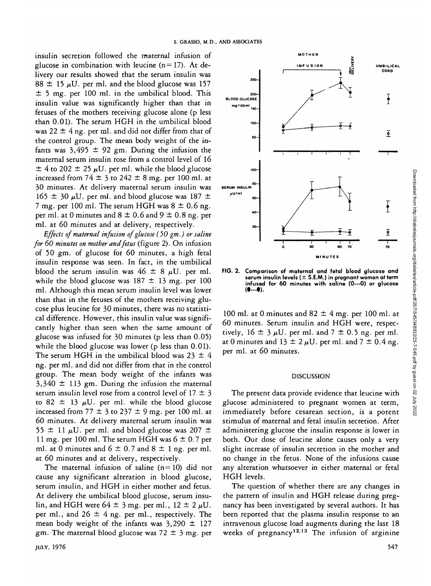insulin secretion followed the maternal infusion of glucose in combination with leucine  $(n=17)$ . At delivery our results showed that the serum insulin was  $88 \pm 15$  µU. per ml. and the blood glucose was 157  $\pm$  5 mg. per 100 ml. in the umbilical blood. This insulin value was significantly higher than that in fetuses of the mothers receiving glucose alone (p less than 0.01). The serum HGH in the umbilical blood was  $22 \pm 4$  ng. per ml. and did not differ from that of the control group. The mean body weight of the infants was  $3,495 \pm 92$  gm. During the infusion the maternal serum insulin rose from a control level of 16  $\pm$  4 to 202  $\pm$  25  $\mu$ U. per ml. while the blood glucose increased from  $74 \pm 3$  to  $242 \pm 8$  mg. per 100 ml. at 30 minutes. At delivery maternal serum insulin was  $165 \pm 30 \mu U$ . per ml. and blood glucose was 187  $\pm$ 7 mg. per 100 ml. The serum HGH was  $8 \pm 0.6$  ng. per ml. at 0 minutes and  $8 \pm 0.6$  and  $9 \pm 0.8$  ng. per ml. at 60 minutes and at delivery, respectively.

*Effects of maternal infusion of glucose (50 gm.) or saline for 60 minutes on mother and fetus* (figure 2). On infusion of 50 gm. of glucose for 60 minutes, a high fetal insulin response was seen. In fact, in the umbilical blood the serum insulin was  $46 \pm 8$   $\mu$ U. per ml. while the blood glucose was  $187 \pm 13$  mg. per 100 ml. Although this mean serum insulin level was lower than that in the fetuses of the mothers receiving glucose plus leucine for 30 minutes, there was no statistical difference. However, this insulin value was significantly higher than seen when the same amount of glucose was infused for 30 minutes (p less than 0.05) while the blood glucose was lower (p less than 0.01). The serum HGH in the umbilical blood was  $23 \pm 4$ ng. per ml. and did not differ from that in the control group. The mean body weight of the infants was  $3,340 \pm 113$  gm. During the infusion the maternal serum insulin level rose from a control level of  $17 \pm 3$ to 82  $\pm$  13  $\mu$ U. per ml. while the blood glucose increased from 77  $\pm$  3 to 237  $\pm$  9 mg. per 100 ml. at 60 minutes. At delivery maternal serum insulin was 55  $\pm$  11  $\mu$ U. per ml. and blood glucose was 207  $\pm$ 11 mg. per 100 ml. The serum HGH was  $6 \pm 0.7$  per ml. at 0 minutes and  $6 \pm 0.7$  and  $8 \pm 1$  ng. per ml. at 60 minutes and at delivery, respectively.

The maternal infusion of saline  $(n=10)$  did not cause any significant alteration in blood glucose, serum insulin, and HGH in either mother and fetus. At delivery the umbilical blood glucose, serum insulin, and HGH were  $64 \pm 3$  mg. per ml.,  $12 \pm 2 \mu U$ . per ml., and  $26 \pm 4$  ng. per ml., respectively. The mean body weight of the infants was  $3,290 \pm 127$ gm. The maternal blood glucose was  $72 \pm 3$  mg. per



**FIG. 2. Comparison of maternal and fetal blood glucose and serum insulin levels ( ± S.E.AA.) in pregnant women at term** infused for 60 minutes with saline (0---0) or glucose (0---0).

100 ml. at 0 minutes and  $82 \pm 4$  mg. per 100 ml. at 60 minutes. Serum insulin and HGH were, respectively,  $16 \pm 3 \mu U$ . per ml. and  $7 \pm 0.5$  ng. per ml. at 0 minutes and  $13 \pm 2 \mu U$ . per ml. and  $7 \pm 0.4$  ng. per ml. at 60 minutes.

#### DISCUSSION

The present data provide evidence that leucine with glucose administered to pregnant women at term, immediately before cesarean section, is a potent stimulus of maternal and fetal insulin secretion. After administering glucose the insulin response is lower in both. Our dose of leucine alone causes only a very slight increase of insulin secretion in the mother and no change in the fetus. None of the infusions cause any alteration whatsoever in either maternal or fetal HGH levels.

The question of whether there are any changes in the pattern of insulin and HGH release during pregnancy has been investigated by several authors. It has been reported that the plasma insulin response to an intravenous glucose load augments during the last 18 weeks of pregnancy<sup>12,13</sup> The infusion of arginine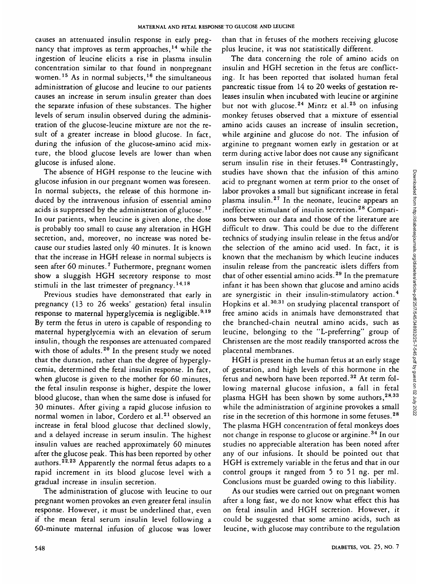causes an attenuated insulin response in early pregnancy that improves as term approaches,<sup>14</sup> while the ingestion of leucine elicits a rise in plasma insulin concentration similar to that found in nonpregnant women.<sup>15</sup> As in normal subjects,<sup>16</sup> the simultaneous administration of glucose and leucine to our patients causes an increase in serum insulin greater than does the separate infusion of these substances. The higher levels of serum insulin observed during the administration of the glucose-leucine mixture are not the result of a greater increase in blood glucose. In fact, during the infusion of the glucose-amino acid mixture, the blood glucose levels are lower than when glucose is infused alone.

The absence of HGH response to the leucine with glucose infusion in our pregnant women was foreseen. In normal subjects, the release of this hormone induced by the intravenous infusion of essential amino acids is suppressed by the administration of glucose.<sup>17</sup> In our patients, when leucine is given alone, the dose is probably too small to cause any alteration in HGH secretion, and, moreover, no increase was noted because our studies lasted only 40 minutes. It is known that the increase in HGH release in normal subjects is seen after 60 minutes.<sup>7</sup> Futhermore, pregnant women show a sluggish HGH secretory response to most stimuli in the last trimester of pregnancy.<sup>14,18</sup>

Previous studies have demonstrated that early in pregnancy (13 to 26 weeks' gestation) fetal insulin response to maternal hyperglycemia is negligible.  $9.19$ By term the fetus in utero is capable of responding to maternal hyperglycemia with an elevation of serum insulin, though the responses are attenuated compared with those of adults.<sup>20</sup> In the present study we noted that the duration, rather than the degree of hyperglycemia, determined the fetal insulin response. In fact, when glucose is given to the mother for 60 minutes, the fetal insulin response is higher, despite the lower blood glucose, than when the same dose is infused for 30 minutes. After giving a rapid glucose infusion to normal women in labor, Cordero et al.<sup>21</sup> observed an increase in fetal blood glucose that declined slowly, and a delayed increase in serum insulin. The highest insulin values are reached approximately 60 minutes after the glucose peak. This has been reported by other authors.<sup>22,23</sup> Apparently the normal fetus adapts to a rapid increment in its blood glucose level with a gradual increase in insulin secretion.

The administration of glucose with leucine to our pregnant women provokes an even greater fetal insulin response. However, it must be underlined that, even if the mean fetal serum insulin level following a 60-minute maternal infusion of glucose was lower

than that in fetuses of the mothers receiving glucose plus leucine, it was not statistically different.

The data concerning the role of amino acids on insulin and HGH secretion in the fetus are conflicting. It has been reported that isolated human fetal pancreatic tissue from 14 to 20 weeks of gestation releases insulin when incubated with leucine or arginine but not with glucose.<sup>24</sup> Mintz et al.<sup>25</sup> on infusing monkey fetuses observed that a mixture of essential amino acids causes an increase of insulin secretion, while arginine and glucose do not. The infusion of arginine to pregnant women early in gestation or at term during active labor does not cause any significant serum insulin rise in their fetuses.<sup>26</sup> Contrastingly, studies have shown that the infusion of this amino acid to pregnant women at term prior to the onset of labor provokes a small but significant increase in fetal make presence a management and insurance in real ineffective stimulant of insulin secretion.<sup>28</sup> Comparisons between our data and those of the literature are difficult to draw. This could be due to the different technics of studying insulin release in the fetus and/or the selection of the amino acid used. In fact, it is known that the mechanism by which leucine induces insulin release from the pancreatic islets differs from that of other essential amino acids.<sup>29</sup> In the premature infant it has been shown that glucose and amino acids are synergistic in their insulin-stimulatory action.<sup>4</sup> are synergistic in their msunn-stimulatory action.<br>Hopkins et al. <sup>30,31</sup> on studying placental transport of free amino acids in animals have demonstrated that the branched-chain neutral amino acids, such as leucine, belonging to the "L-preferring" group of Christensen are the most readily transported across the placental membranes.

HGH is present in the human fetus at an early stage of gestation, and high levels of this hormone in the fetus and newborn have been reported.<sup>32</sup> At term following maternal glucose infusion, a fall in fetal plasma HGH has been shown by some authors,  $28,33$ while the administration of arginine provokes a small rise in the secretion of this hormone in some fetuses.<sup>28</sup> The plasma HGH concentration of fetal monkeys does not change in response to glucose or arginine.<sup>34</sup> In our studies no appreciable alteration has been noted after any of our infusions. It should be pointed out that HGH is extremely variable in the fetus and that in our control groups it ranged from 5 to 51 ng. per ml. Conclusions must be guarded owing to this liability.

As our studies were carried out on pregnant women after a long fast, we do not know what effect this has on fetal insulin and HGH secretion. However, it could be suggested that some amino acids, such as leucine, with glucose may contribute to the regulation